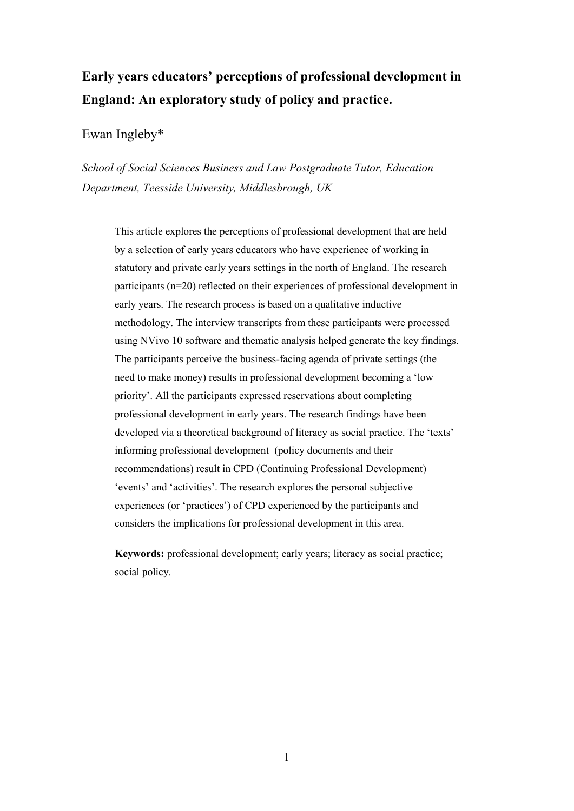# **Early years educators' perceptions of professional development in England: An exploratory study of policy and practice.**

# Ewan Ingleby\*

*School of Social Sciences Business and Law Postgraduate Tutor, Education Department, Teesside University, Middlesbrough, UK*

This article explores the perceptions of professional development that are held by a selection of early years educators who have experience of working in statutory and private early years settings in the north of England. The research participants (n=20) reflected on their experiences of professional development in early years. The research process is based on a qualitative inductive methodology. The interview transcripts from these participants were processed using NVivo 10 software and thematic analysis helped generate the key findings. The participants perceive the business-facing agenda of private settings (the need to make money) results in professional development becoming a 'low priority'. All the participants expressed reservations about completing professional development in early years. The research findings have been developed via a theoretical background of literacy as social practice. The 'texts' informing professional development (policy documents and their recommendations) result in CPD (Continuing Professional Development) 'events' and 'activities'. The research explores the personal subjective experiences (or 'practices') of CPD experienced by the participants and considers the implications for professional development in this area.

**Keywords:** professional development; early years; literacy as social practice; social policy.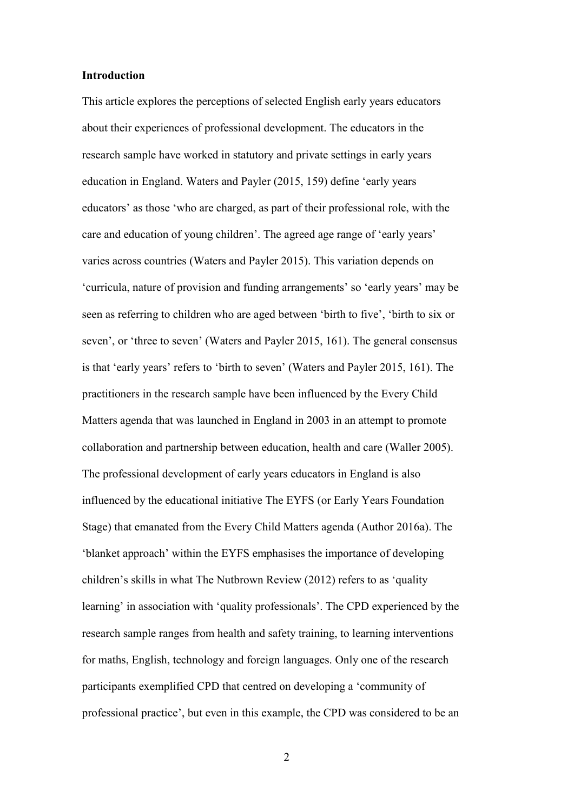# **Introduction**

This article explores the perceptions of selected English early years educators about their experiences of professional development. The educators in the research sample have worked in statutory and private settings in early years education in England. Waters and Payler (2015, 159) define 'early years educators' as those 'who are charged, as part of their professional role, with the care and education of young children'. The agreed age range of 'early years' varies across countries (Waters and Payler 2015). This variation depends on 'curricula, nature of provision and funding arrangements' so 'early years' may be seen as referring to children who are aged between 'birth to five', 'birth to six or seven', or 'three to seven' (Waters and Payler 2015, 161). The general consensus is that 'early years' refers to 'birth to seven' (Waters and Payler 2015, 161). The practitioners in the research sample have been influenced by the Every Child Matters agenda that was launched in England in 2003 in an attempt to promote collaboration and partnership between education, health and care (Waller 2005). The professional development of early years educators in England is also influenced by the educational initiative The EYFS (or Early Years Foundation Stage) that emanated from the Every Child Matters agenda (Author 2016a). The 'blanket approach' within the EYFS emphasises the importance of developing children's skills in what The Nutbrown Review (2012) refers to as 'quality learning' in association with 'quality professionals'. The CPD experienced by the research sample ranges from health and safety training, to learning interventions for maths, English, technology and foreign languages. Only one of the research participants exemplified CPD that centred on developing a 'community of professional practice', but even in this example, the CPD was considered to be an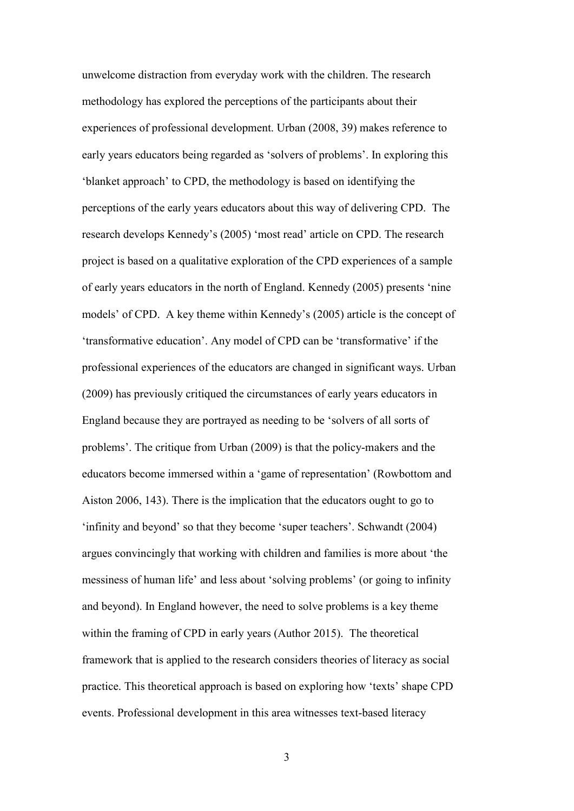unwelcome distraction from everyday work with the children. The research methodology has explored the perceptions of the participants about their experiences of professional development. Urban (2008, 39) makes reference to early years educators being regarded as 'solvers of problems'. In exploring this 'blanket approach' to CPD, the methodology is based on identifying the perceptions of the early years educators about this way of delivering CPD. The research develops Kennedy's (2005) 'most read' article on CPD. The research project is based on a qualitative exploration of the CPD experiences of a sample of early years educators in the north of England. Kennedy (2005) presents 'nine models' of CPD. A key theme within Kennedy's (2005) article is the concept of 'transformative education'. Any model of CPD can be 'transformative' if the professional experiences of the educators are changed in significant ways. Urban (2009) has previously critiqued the circumstances of early years educators in England because they are portrayed as needing to be 'solvers of all sorts of problems'. The critique from Urban (2009) is that the policy-makers and the educators become immersed within a 'game of representation' (Rowbottom and Aiston 2006, 143). There is the implication that the educators ought to go to 'infinity and beyond' so that they become 'super teachers'. Schwandt (2004) argues convincingly that working with children and families is more about 'the messiness of human life' and less about 'solving problems' (or going to infinity and beyond). In England however, the need to solve problems is a key theme within the framing of CPD in early years (Author 2015). The theoretical framework that is applied to the research considers theories of literacy as social practice. This theoretical approach is based on exploring how 'texts' shape CPD events. Professional development in this area witnesses text-based literacy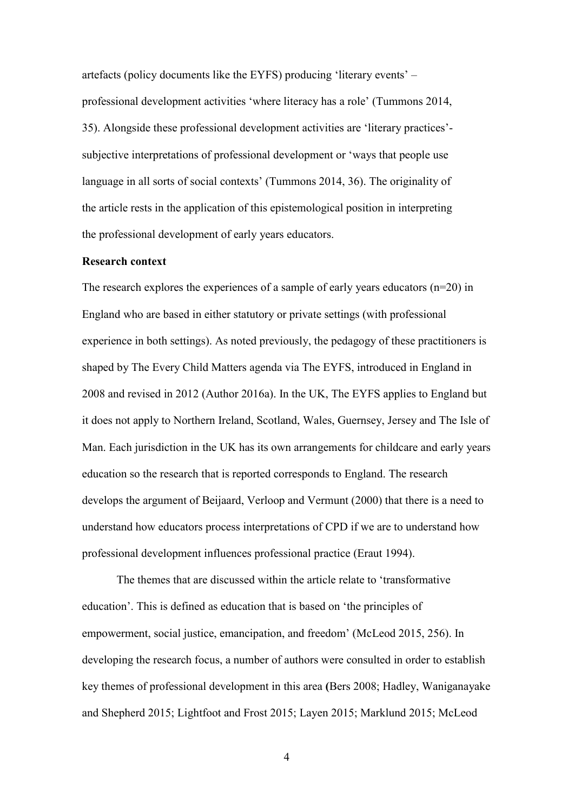artefacts (policy documents like the EYFS) producing 'literary events' – professional development activities 'where literacy has a role' (Tummons 2014, 35). Alongside these professional development activities are 'literary practices' subjective interpretations of professional development or 'ways that people use language in all sorts of social contexts' (Tummons 2014, 36). The originality of the article rests in the application of this epistemological position in interpreting the professional development of early years educators.

# **Research context**

The research explores the experiences of a sample of early years educators  $(n=20)$  in England who are based in either statutory or private settings (with professional experience in both settings). As noted previously, the pedagogy of these practitioners is shaped by The Every Child Matters agenda via The EYFS, introduced in England in 2008 and revised in 2012 (Author 2016a). In the UK, The EYFS applies to England but it does not apply to Northern Ireland, Scotland, Wales, Guernsey, Jersey and The Isle of Man. Each jurisdiction in the UK has its own arrangements for childcare and early years education so the research that is reported corresponds to England. The research develops the argument of Beijaard, Verloop and Vermunt (2000) that there is a need to understand how educators process interpretations of CPD if we are to understand how professional development influences professional practice (Eraut 1994).

The themes that are discussed within the article relate to 'transformative education'. This is defined as education that is based on 'the principles of empowerment, social justice, emancipation, and freedom' (McLeod 2015, 256). In developing the research focus, a number of authors were consulted in order to establish key themes of professional development in this area **(**Bers 2008; Hadley, Waniganayake and Shepherd 2015; Lightfoot and Frost 2015; Layen 2015; Marklund 2015; McLeod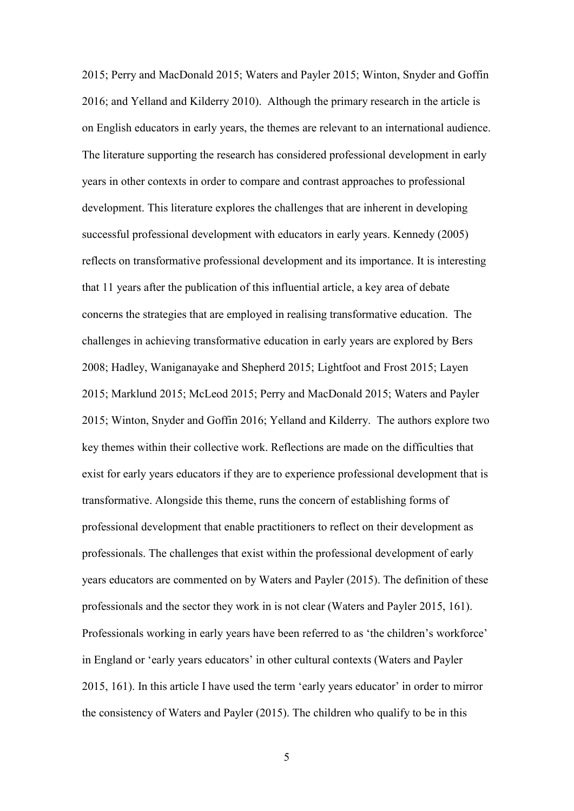2015; Perry and MacDonald 2015; Waters and Payler 2015; Winton, Snyder and Goffin 2016; and Yelland and Kilderry 2010). Although the primary research in the article is on English educators in early years, the themes are relevant to an international audience. The literature supporting the research has considered professional development in early years in other contexts in order to compare and contrast approaches to professional development. This literature explores the challenges that are inherent in developing successful professional development with educators in early years. Kennedy (2005) reflects on transformative professional development and its importance. It is interesting that 11 years after the publication of this influential article, a key area of debate concerns the strategies that are employed in realising transformative education. The challenges in achieving transformative education in early years are explored by Bers 2008; Hadley, Waniganayake and Shepherd 2015; Lightfoot and Frost 2015; Layen 2015; Marklund 2015; McLeod 2015; Perry and MacDonald 2015; Waters and Payler 2015; Winton, Snyder and Goffin 2016; Yelland and Kilderry. The authors explore two key themes within their collective work. Reflections are made on the difficulties that exist for early years educators if they are to experience professional development that is transformative. Alongside this theme, runs the concern of establishing forms of professional development that enable practitioners to reflect on their development as professionals. The challenges that exist within the professional development of early years educators are commented on by Waters and Payler (2015). The definition of these professionals and the sector they work in is not clear (Waters and Payler 2015, 161). Professionals working in early years have been referred to as 'the children's workforce' in England or 'early years educators' in other cultural contexts (Waters and Payler 2015, 161). In this article I have used the term 'early years educator' in order to mirror the consistency of Waters and Payler (2015). The children who qualify to be in this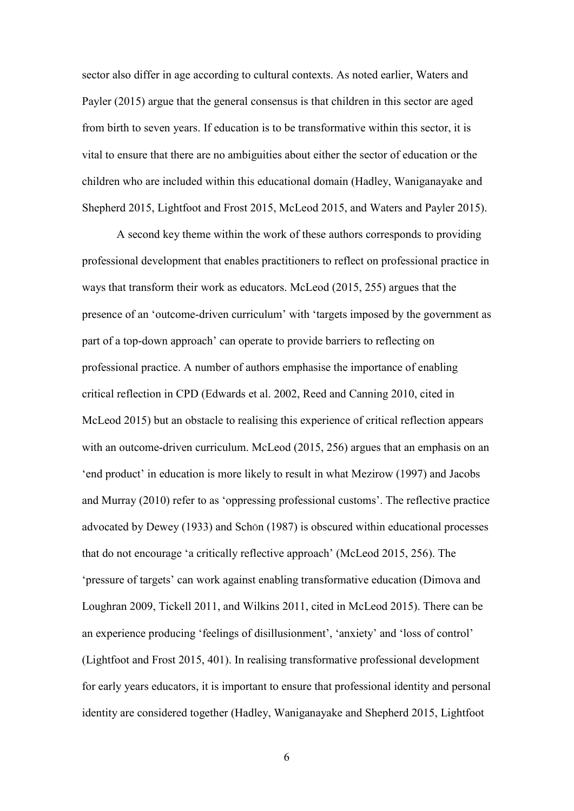sector also differ in age according to cultural contexts. As noted earlier, Waters and Payler (2015) argue that the general consensus is that children in this sector are aged from birth to seven years. If education is to be transformative within this sector, it is vital to ensure that there are no ambiguities about either the sector of education or the children who are included within this educational domain (Hadley, Waniganayake and Shepherd 2015, Lightfoot and Frost 2015, McLeod 2015, and Waters and Payler 2015).

A second key theme within the work of these authors corresponds to providing professional development that enables practitioners to reflect on professional practice in ways that transform their work as educators. McLeod (2015, 255) argues that the presence of an 'outcome-driven curriculum' with 'targets imposed by the government as part of a top-down approach' can operate to provide barriers to reflecting on professional practice. A number of authors emphasise the importance of enabling critical reflection in CPD (Edwards et al. 2002, Reed and Canning 2010, cited in McLeod 2015) but an obstacle to realising this experience of critical reflection appears with an outcome-driven curriculum. McLeod (2015, 256) argues that an emphasis on an 'end product' in education is more likely to result in what Mezirow (1997) and Jacobs and Murray (2010) refer to as 'oppressing professional customs'. The reflective practice advocated by Dewey (1933) and Schön (1987) is obscured within educational processes that do not encourage 'a critically reflective approach' (McLeod 2015, 256). The 'pressure of targets' can work against enabling transformative education (Dimova and Loughran 2009, Tickell 2011, and Wilkins 2011, cited in McLeod 2015). There can be an experience producing 'feelings of disillusionment', 'anxiety' and 'loss of control' (Lightfoot and Frost 2015, 401). In realising transformative professional development for early years educators, it is important to ensure that professional identity and personal identity are considered together (Hadley, Waniganayake and Shepherd 2015, Lightfoot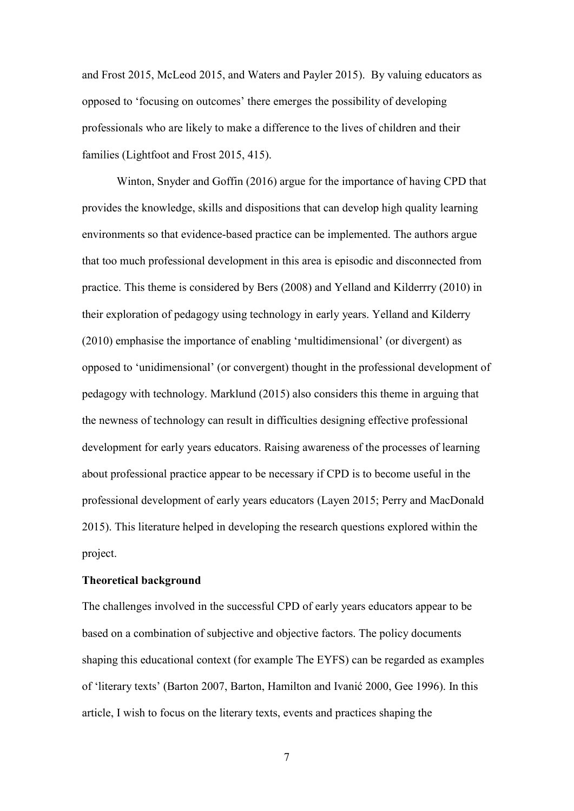and Frost 2015, McLeod 2015, and Waters and Payler 2015). By valuing educators as opposed to 'focusing on outcomes' there emerges the possibility of developing professionals who are likely to make a difference to the lives of children and their families (Lightfoot and Frost 2015, 415).

Winton, Snyder and Goffin (2016) argue for the importance of having CPD that provides the knowledge, skills and dispositions that can develop high quality learning environments so that evidence-based practice can be implemented. The authors argue that too much professional development in this area is episodic and disconnected from practice. This theme is considered by Bers (2008) and Yelland and Kilderrry (2010) in their exploration of pedagogy using technology in early years. Yelland and Kilderry (2010) emphasise the importance of enabling 'multidimensional' (or divergent) as opposed to 'unidimensional' (or convergent) thought in the professional development of pedagogy with technology. Marklund (2015) also considers this theme in arguing that the newness of technology can result in difficulties designing effective professional development for early years educators. Raising awareness of the processes of learning about professional practice appear to be necessary if CPD is to become useful in the professional development of early years educators (Layen 2015; Perry and MacDonald 2015). This literature helped in developing the research questions explored within the project.

### **Theoretical background**

The challenges involved in the successful CPD of early years educators appear to be based on a combination of subjective and objective factors. The policy documents shaping this educational context (for example The EYFS) can be regarded as examples of 'literary texts' (Barton 2007, Barton, Hamilton and Ivanić 2000, Gee 1996). In this article, I wish to focus on the literary texts, events and practices shaping the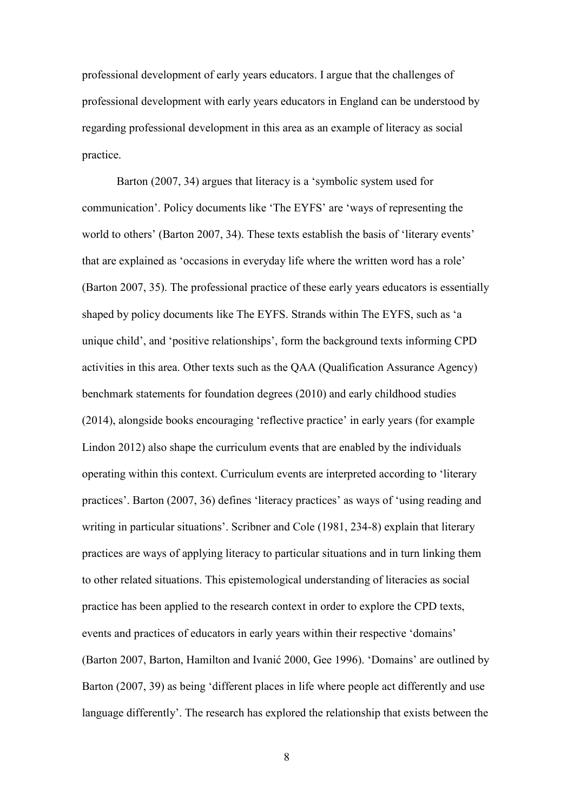professional development of early years educators. I argue that the challenges of professional development with early years educators in England can be understood by regarding professional development in this area as an example of literacy as social practice.

Barton (2007, 34) argues that literacy is a 'symbolic system used for communication'. Policy documents like 'The EYFS' are 'ways of representing the world to others' (Barton 2007, 34). These texts establish the basis of 'literary events' that are explained as 'occasions in everyday life where the written word has a role' (Barton 2007, 35). The professional practice of these early years educators is essentially shaped by policy documents like The EYFS. Strands within The EYFS, such as 'a unique child', and 'positive relationships', form the background texts informing CPD activities in this area. Other texts such as the QAA (Qualification Assurance Agency) benchmark statements for foundation degrees (2010) and early childhood studies (2014), alongside books encouraging 'reflective practice' in early years (for example Lindon 2012) also shape the curriculum events that are enabled by the individuals operating within this context. Curriculum events are interpreted according to 'literary practices'. Barton (2007, 36) defines 'literacy practices' as ways of 'using reading and writing in particular situations'. Scribner and Cole (1981, 234-8) explain that literary practices are ways of applying literacy to particular situations and in turn linking them to other related situations. This epistemological understanding of literacies as social practice has been applied to the research context in order to explore the CPD texts, events and practices of educators in early years within their respective 'domains' (Barton 2007, Barton, Hamilton and Ivanić 2000, Gee 1996). 'Domains' are outlined by Barton (2007, 39) as being 'different places in life where people act differently and use language differently'. The research has explored the relationship that exists between the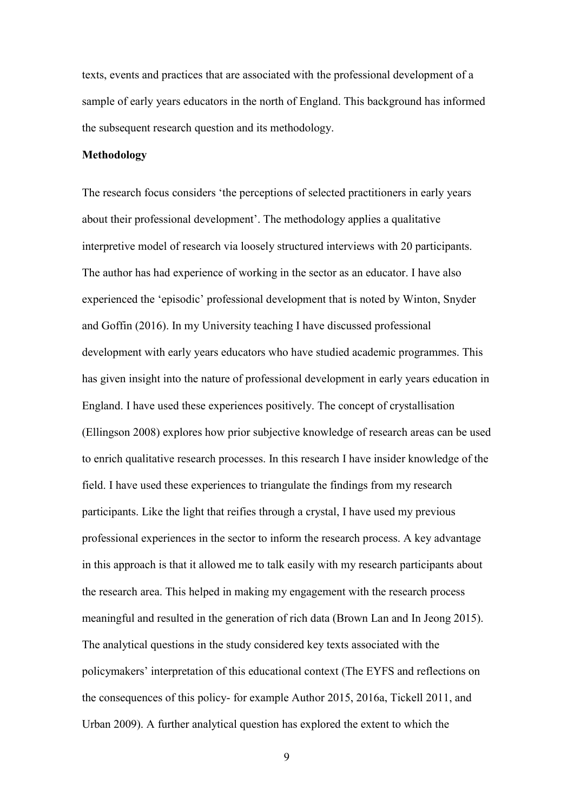texts, events and practices that are associated with the professional development of a sample of early years educators in the north of England. This background has informed the subsequent research question and its methodology.

# **Methodology**

The research focus considers 'the perceptions of selected practitioners in early years about their professional development'. The methodology applies a qualitative interpretive model of research via loosely structured interviews with 20 participants. The author has had experience of working in the sector as an educator. I have also experienced the 'episodic' professional development that is noted by Winton, Snyder and Goffin (2016). In my University teaching I have discussed professional development with early years educators who have studied academic programmes. This has given insight into the nature of professional development in early years education in England. I have used these experiences positively. The concept of crystallisation (Ellingson 2008) explores how prior subjective knowledge of research areas can be used to enrich qualitative research processes. In this research I have insider knowledge of the field. I have used these experiences to triangulate the findings from my research participants. Like the light that reifies through a crystal, I have used my previous professional experiences in the sector to inform the research process. A key advantage in this approach is that it allowed me to talk easily with my research participants about the research area. This helped in making my engagement with the research process meaningful and resulted in the generation of rich data (Brown Lan and In Jeong 2015). The analytical questions in the study considered key texts associated with the policymakers' interpretation of this educational context (The EYFS and reflections on the consequences of this policy- for example Author 2015, 2016a, Tickell 2011, and Urban 2009). A further analytical question has explored the extent to which the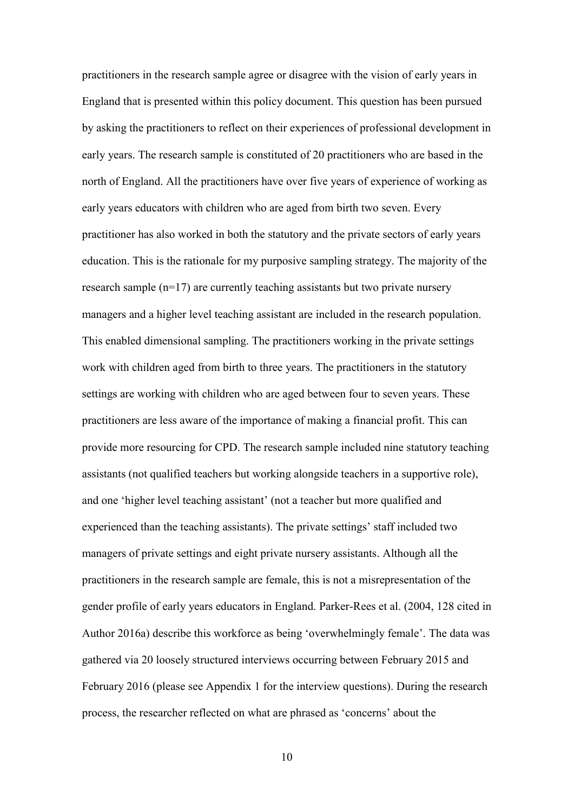practitioners in the research sample agree or disagree with the vision of early years in England that is presented within this policy document. This question has been pursued by asking the practitioners to reflect on their experiences of professional development in early years. The research sample is constituted of 20 practitioners who are based in the north of England. All the practitioners have over five years of experience of working as early years educators with children who are aged from birth two seven. Every practitioner has also worked in both the statutory and the private sectors of early years education. This is the rationale for my purposive sampling strategy. The majority of the research sample (n=17) are currently teaching assistants but two private nursery managers and a higher level teaching assistant are included in the research population. This enabled dimensional sampling. The practitioners working in the private settings work with children aged from birth to three years. The practitioners in the statutory settings are working with children who are aged between four to seven years. These practitioners are less aware of the importance of making a financial profit. This can provide more resourcing for CPD. The research sample included nine statutory teaching assistants (not qualified teachers but working alongside teachers in a supportive role), and one 'higher level teaching assistant' (not a teacher but more qualified and experienced than the teaching assistants). The private settings' staff included two managers of private settings and eight private nursery assistants. Although all the practitioners in the research sample are female, this is not a misrepresentation of the gender profile of early years educators in England. Parker-Rees et al. (2004, 128 cited in Author 2016a) describe this workforce as being 'overwhelmingly female'. The data was gathered via 20 loosely structured interviews occurring between February 2015 and February 2016 (please see Appendix 1 for the interview questions). During the research process, the researcher reflected on what are phrased as 'concerns' about the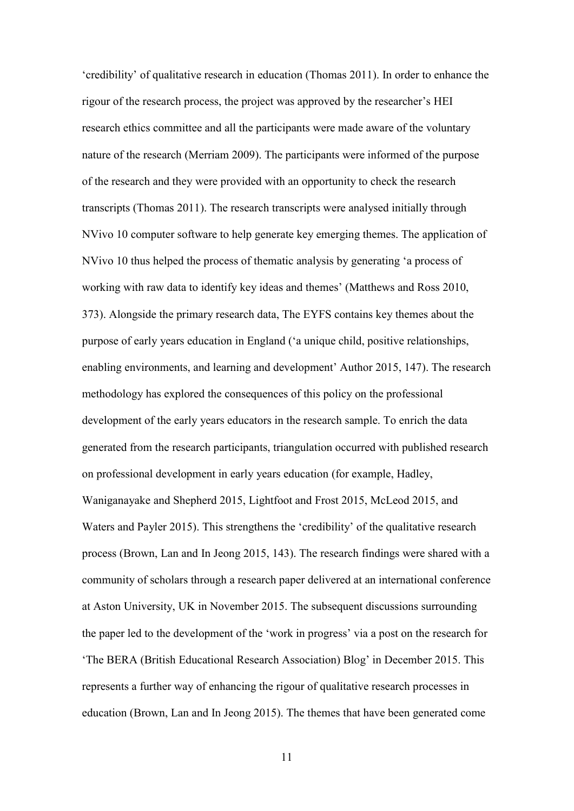'credibility' of qualitative research in education (Thomas 2011). In order to enhance the rigour of the research process, the project was approved by the researcher's HEI research ethics committee and all the participants were made aware of the voluntary nature of the research (Merriam 2009). The participants were informed of the purpose of the research and they were provided with an opportunity to check the research transcripts (Thomas 2011). The research transcripts were analysed initially through NVivo 10 computer software to help generate key emerging themes. The application of NVivo 10 thus helped the process of thematic analysis by generating 'a process of working with raw data to identify key ideas and themes' (Matthews and Ross 2010, 373). Alongside the primary research data, The EYFS contains key themes about the purpose of early years education in England ('a unique child, positive relationships, enabling environments, and learning and development' Author 2015, 147). The research methodology has explored the consequences of this policy on the professional development of the early years educators in the research sample. To enrich the data generated from the research participants, triangulation occurred with published research on professional development in early years education (for example, Hadley, Waniganayake and Shepherd 2015, Lightfoot and Frost 2015, McLeod 2015, and Waters and Payler 2015). This strengthens the 'credibility' of the qualitative research process (Brown, Lan and In Jeong 2015, 143). The research findings were shared with a community of scholars through a research paper delivered at an international conference at Aston University, UK in November 2015. The subsequent discussions surrounding the paper led to the development of the 'work in progress' via a post on the research for 'The BERA (British Educational Research Association) Blog' in December 2015. This represents a further way of enhancing the rigour of qualitative research processes in education (Brown, Lan and In Jeong 2015). The themes that have been generated come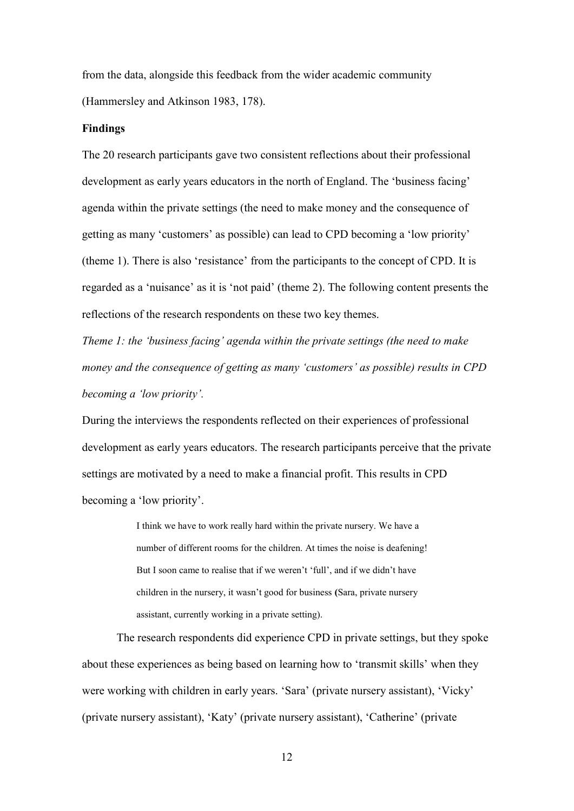from the data, alongside this feedback from the wider academic community (Hammersley and Atkinson 1983, 178).

# **Findings**

The 20 research participants gave two consistent reflections about their professional development as early years educators in the north of England. The 'business facing' agenda within the private settings (the need to make money and the consequence of getting as many 'customers' as possible) can lead to CPD becoming a 'low priority' (theme 1). There is also 'resistance' from the participants to the concept of CPD. It is regarded as a 'nuisance' as it is 'not paid' (theme 2). The following content presents the reflections of the research respondents on these two key themes.

*Theme 1: the 'business facing' agenda within the private settings (the need to make money and the consequence of getting as many 'customers' as possible) results in CPD becoming a 'low priority'.* 

During the interviews the respondents reflected on their experiences of professional development as early years educators. The research participants perceive that the private settings are motivated by a need to make a financial profit. This results in CPD becoming a 'low priority'.

> I think we have to work really hard within the private nursery. We have a number of different rooms for the children. At times the noise is deafening! But I soon came to realise that if we weren't 'full', and if we didn't have children in the nursery, it wasn't good for business **(**Sara, private nursery assistant, currently working in a private setting).

The research respondents did experience CPD in private settings, but they spoke about these experiences as being based on learning how to 'transmit skills' when they were working with children in early years. 'Sara' (private nursery assistant), 'Vicky' (private nursery assistant), 'Katy' (private nursery assistant), 'Catherine' (private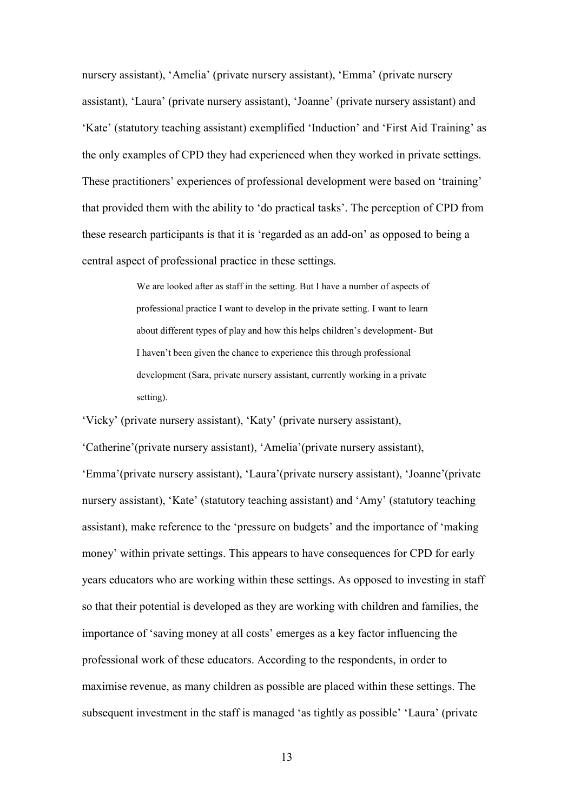nursery assistant), 'Amelia' (private nursery assistant), 'Emma' (private nursery assistant), 'Laura' (private nursery assistant), 'Joanne' (private nursery assistant) and 'Kate' (statutory teaching assistant) exemplified 'Induction' and 'First Aid Training' as the only examples of CPD they had experienced when they worked in private settings. These practitioners' experiences of professional development were based on 'training' that provided them with the ability to 'do practical tasks'. The perception of CPD from these research participants is that it is 'regarded as an add-on' as opposed to being a central aspect of professional practice in these settings.

> We are looked after as staff in the setting. But I have a number of aspects of professional practice I want to develop in the private setting. I want to learn about different types of play and how this helps children's development- But I haven't been given the chance to experience this through professional development (Sara, private nursery assistant, currently working in a private setting).

'Vicky' (private nursery assistant), 'Katy' (private nursery assistant), 'Catherine'(private nursery assistant), 'Amelia'(private nursery assistant), 'Emma'(private nursery assistant), 'Laura'(private nursery assistant), 'Joanne'(private nursery assistant), 'Kate' (statutory teaching assistant) and 'Amy' (statutory teaching assistant), make reference to the 'pressure on budgets' and the importance of 'making money' within private settings. This appears to have consequences for CPD for early years educators who are working within these settings. As opposed to investing in staff so that their potential is developed as they are working with children and families, the importance of 'saving money at all costs' emerges as a key factor influencing the professional work of these educators. According to the respondents, in order to maximise revenue, as many children as possible are placed within these settings. The subsequent investment in the staff is managed 'as tightly as possible' 'Laura' (private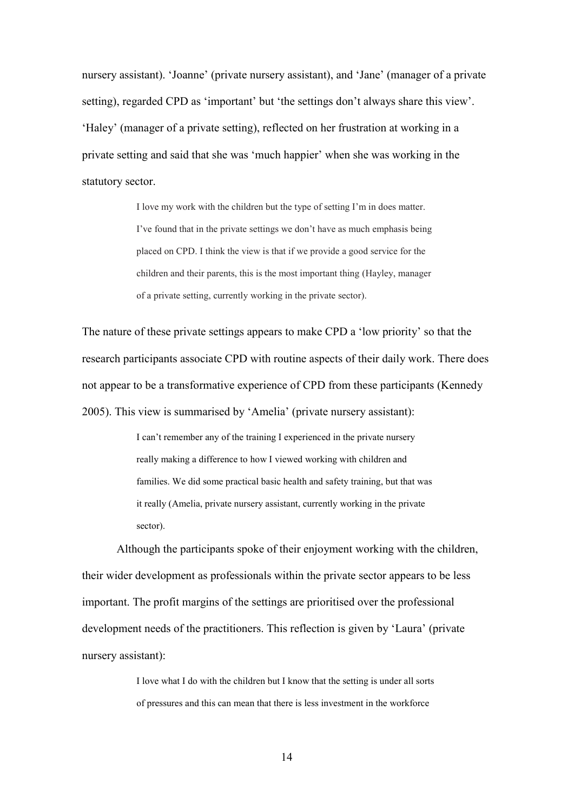nursery assistant). 'Joanne' (private nursery assistant), and 'Jane' (manager of a private setting), regarded CPD as 'important' but 'the settings don't always share this view'. 'Haley' (manager of a private setting), reflected on her frustration at working in a private setting and said that she was 'much happier' when she was working in the statutory sector.

> I love my work with the children but the type of setting I'm in does matter. I've found that in the private settings we don't have as much emphasis being placed on CPD. I think the view is that if we provide a good service for the children and their parents, this is the most important thing (Hayley, manager of a private setting, currently working in the private sector).

The nature of these private settings appears to make CPD a 'low priority' so that the research participants associate CPD with routine aspects of their daily work. There does not appear to be a transformative experience of CPD from these participants (Kennedy 2005). This view is summarised by 'Amelia' (private nursery assistant):

> I can't remember any of the training I experienced in the private nursery really making a difference to how I viewed working with children and families. We did some practical basic health and safety training, but that was it really (Amelia, private nursery assistant, currently working in the private sector).

Although the participants spoke of their enjoyment working with the children, their wider development as professionals within the private sector appears to be less important. The profit margins of the settings are prioritised over the professional development needs of the practitioners. This reflection is given by 'Laura' (private nursery assistant):

> I love what I do with the children but I know that the setting is under all sorts of pressures and this can mean that there is less investment in the workforce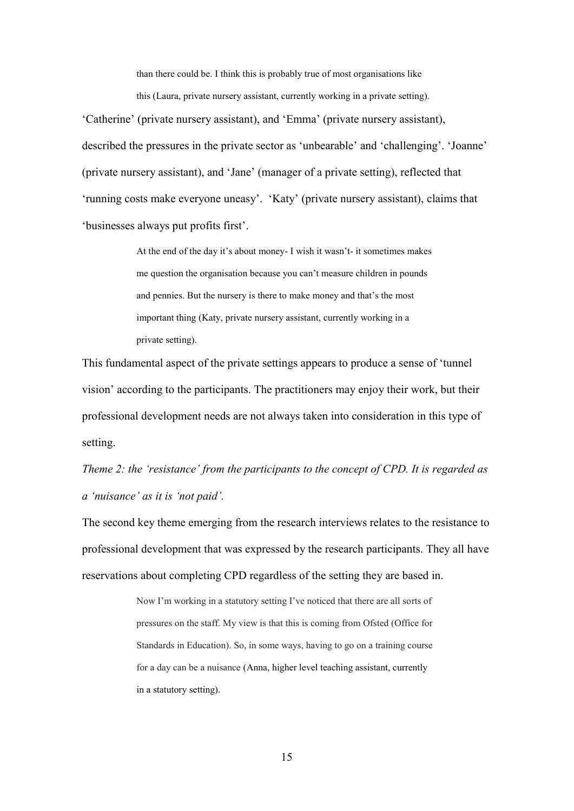than there could be. I think this is probably true of most organisations like this (Laura, private nursery assistant, currently working in a private setting).

'Catherine' (private nursery assistant), and 'Emma' (private nursery assistant), described the pressures in the private sector as 'unbearable' and 'challenging'. 'Joanne' (private nursery assistant), and 'Jane' (manager of a private setting), reflected that 'running costs make everyone uneasy'. 'Katy' (private nursery assistant), claims that 'businesses always put profits first'.

> At the end of the day it's about money- I wish it wasn't- it sometimes makes me question the organisation because you can't measure children in pounds and pennies. But the nursery is there to make money and that's the most important thing (Katy, private nursery assistant, currently working in a private setting).

This fundamental aspect of the private settings appears to produce a sense of 'tunnel vision' according to the participants. The practitioners may enjoy their work, but their professional development needs are not always taken into consideration in this type of setting.

*Theme 2: the 'resistance' from the participants to the concept of CPD. It is regarded as a 'nuisance' as it is 'not paid'.* 

The second key theme emerging from the research interviews relates to the resistance to professional development that was expressed by the research participants. They all have reservations about completing CPD regardless of the setting they are based in.

> Now I'm working in a statutory setting I've noticed that there are all sorts of pressures on the staff. My view is that this is coming from Ofsted (Office for Standards in Education). So, in some ways, having to go on a training course for a day can be a nuisance (Anna, higher level teaching assistant, currently in a statutory setting).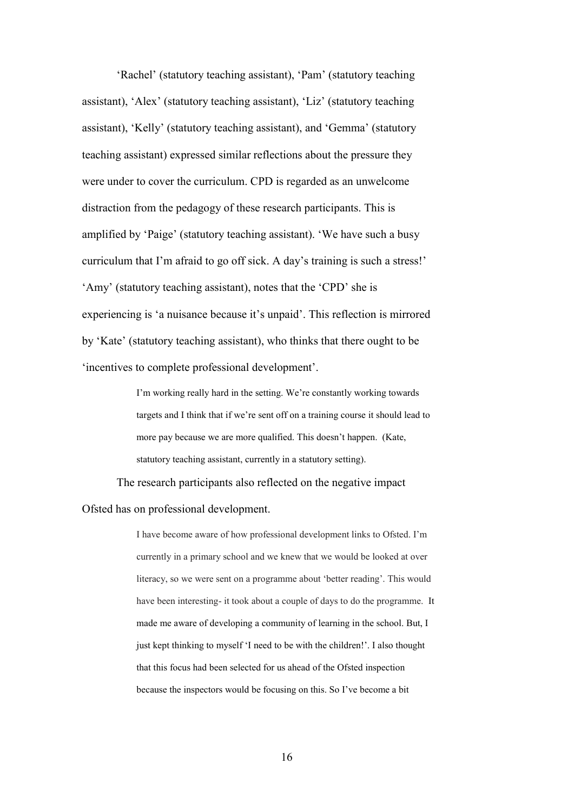'Rachel' (statutory teaching assistant), 'Pam' (statutory teaching assistant), 'Alex' (statutory teaching assistant), 'Liz' (statutory teaching assistant), 'Kelly' (statutory teaching assistant), and 'Gemma' (statutory teaching assistant) expressed similar reflections about the pressure they were under to cover the curriculum. CPD is regarded as an unwelcome distraction from the pedagogy of these research participants. This is amplified by 'Paige' (statutory teaching assistant). 'We have such a busy curriculum that I'm afraid to go off sick. A day's training is such a stress!' 'Amy' (statutory teaching assistant), notes that the 'CPD' she is experiencing is 'a nuisance because it's unpaid'. This reflection is mirrored by 'Kate' (statutory teaching assistant), who thinks that there ought to be 'incentives to complete professional development'.

> I'm working really hard in the setting. We're constantly working towards targets and I think that if we're sent off on a training course it should lead to more pay because we are more qualified. This doesn't happen. (Kate, statutory teaching assistant, currently in a statutory setting).

The research participants also reflected on the negative impact Ofsted has on professional development.

> I have become aware of how professional development links to Ofsted. I'm currently in a primary school and we knew that we would be looked at over literacy, so we were sent on a programme about 'better reading'. This would have been interesting- it took about a couple of days to do the programme. It made me aware of developing a community of learning in the school. But, I just kept thinking to myself 'I need to be with the children!'. I also thought that this focus had been selected for us ahead of the Ofsted inspection because the inspectors would be focusing on this. So I've become a bit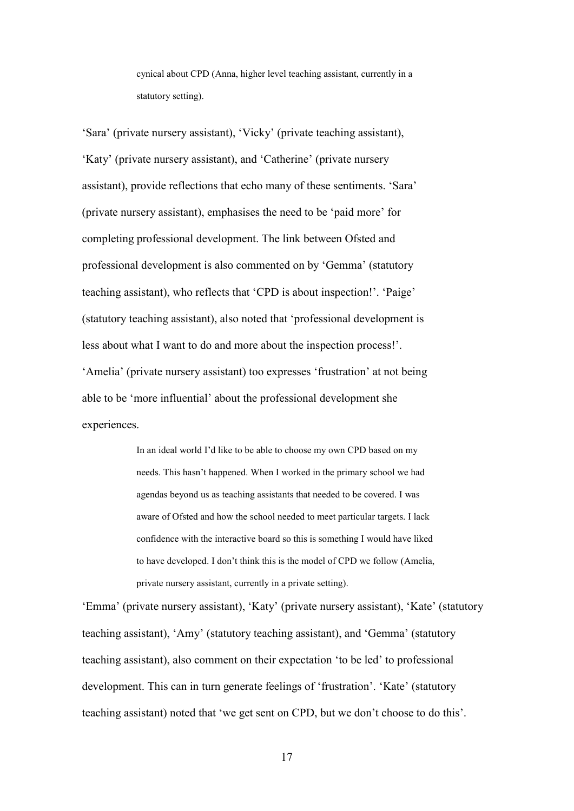cynical about CPD (Anna, higher level teaching assistant, currently in a statutory setting).

'Sara' (private nursery assistant), 'Vicky' (private teaching assistant), 'Katy' (private nursery assistant), and 'Catherine' (private nursery assistant), provide reflections that echo many of these sentiments. 'Sara' (private nursery assistant), emphasises the need to be 'paid more' for completing professional development. The link between Ofsted and professional development is also commented on by 'Gemma' (statutory teaching assistant), who reflects that 'CPD is about inspection!'. 'Paige' (statutory teaching assistant), also noted that 'professional development is less about what I want to do and more about the inspection process!'. 'Amelia' (private nursery assistant) too expresses 'frustration' at not being able to be 'more influential' about the professional development she experiences.

> In an ideal world I'd like to be able to choose my own CPD based on my needs. This hasn't happened. When I worked in the primary school we had agendas beyond us as teaching assistants that needed to be covered. I was aware of Ofsted and how the school needed to meet particular targets. I lack confidence with the interactive board so this is something I would have liked to have developed. I don't think this is the model of CPD we follow (Amelia, private nursery assistant, currently in a private setting).

'Emma' (private nursery assistant), 'Katy' (private nursery assistant), 'Kate' (statutory teaching assistant), 'Amy' (statutory teaching assistant), and 'Gemma' (statutory teaching assistant), also comment on their expectation 'to be led' to professional development. This can in turn generate feelings of 'frustration'. 'Kate' (statutory teaching assistant) noted that 'we get sent on CPD, but we don't choose to do this'.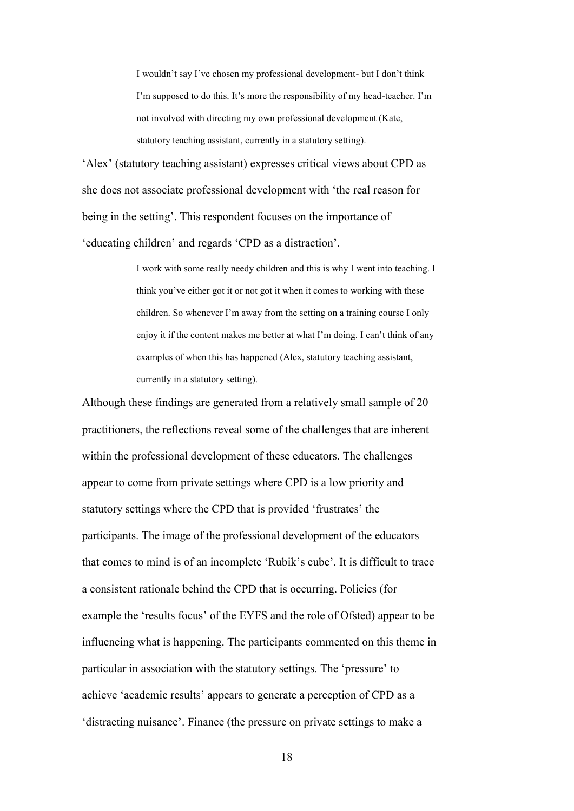I wouldn't say I've chosen my professional development- but I don't think I'm supposed to do this. It's more the responsibility of my head-teacher. I'm not involved with directing my own professional development (Kate, statutory teaching assistant, currently in a statutory setting).

'Alex' (statutory teaching assistant) expresses critical views about CPD as she does not associate professional development with 'the real reason for being in the setting'. This respondent focuses on the importance of 'educating children' and regards 'CPD as a distraction'.

> I work with some really needy children and this is why I went into teaching. I think you've either got it or not got it when it comes to working with these children. So whenever I'm away from the setting on a training course I only enjoy it if the content makes me better at what I'm doing. I can't think of any examples of when this has happened (Alex, statutory teaching assistant, currently in a statutory setting).

Although these findings are generated from a relatively small sample of 20 practitioners, the reflections reveal some of the challenges that are inherent within the professional development of these educators. The challenges appear to come from private settings where CPD is a low priority and statutory settings where the CPD that is provided 'frustrates' the participants. The image of the professional development of the educators that comes to mind is of an incomplete 'Rubik's cube'. It is difficult to trace a consistent rationale behind the CPD that is occurring. Policies (for example the 'results focus' of the EYFS and the role of Ofsted) appear to be influencing what is happening. The participants commented on this theme in particular in association with the statutory settings. The 'pressure' to achieve 'academic results' appears to generate a perception of CPD as a 'distracting nuisance'. Finance (the pressure on private settings to make a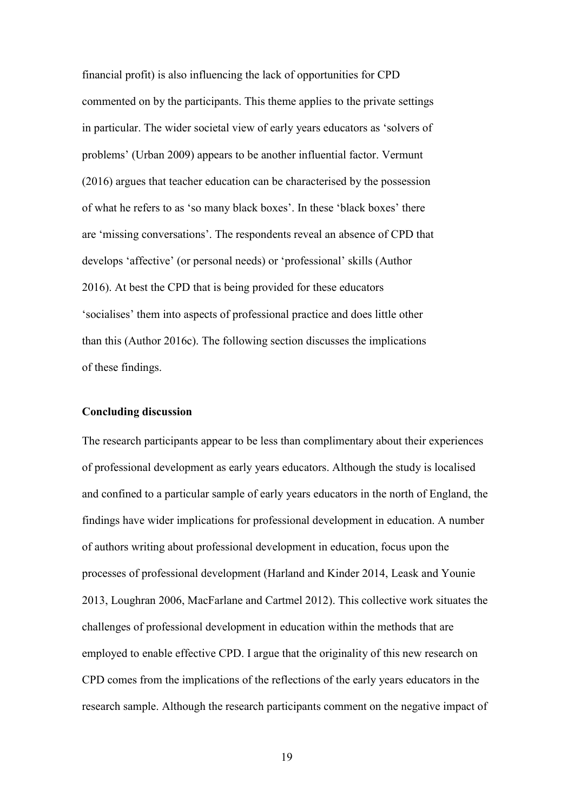financial profit) is also influencing the lack of opportunities for CPD commented on by the participants. This theme applies to the private settings in particular. The wider societal view of early years educators as 'solvers of problems' (Urban 2009) appears to be another influential factor. Vermunt (2016) argues that teacher education can be characterised by the possession of what he refers to as 'so many black boxes'. In these 'black boxes' there are 'missing conversations'. The respondents reveal an absence of CPD that develops 'affective' (or personal needs) or 'professional' skills (Author 2016). At best the CPD that is being provided for these educators 'socialises' them into aspects of professional practice and does little other than this (Author 2016c). The following section discusses the implications of these findings.

### **Concluding discussion**

The research participants appear to be less than complimentary about their experiences of professional development as early years educators. Although the study is localised and confined to a particular sample of early years educators in the north of England, the findings have wider implications for professional development in education. A number of authors writing about professional development in education, focus upon the processes of professional development (Harland and Kinder 2014, Leask and Younie 2013, Loughran 2006, MacFarlane and Cartmel 2012). This collective work situates the challenges of professional development in education within the methods that are employed to enable effective CPD. I argue that the originality of this new research on CPD comes from the implications of the reflections of the early years educators in the research sample. Although the research participants comment on the negative impact of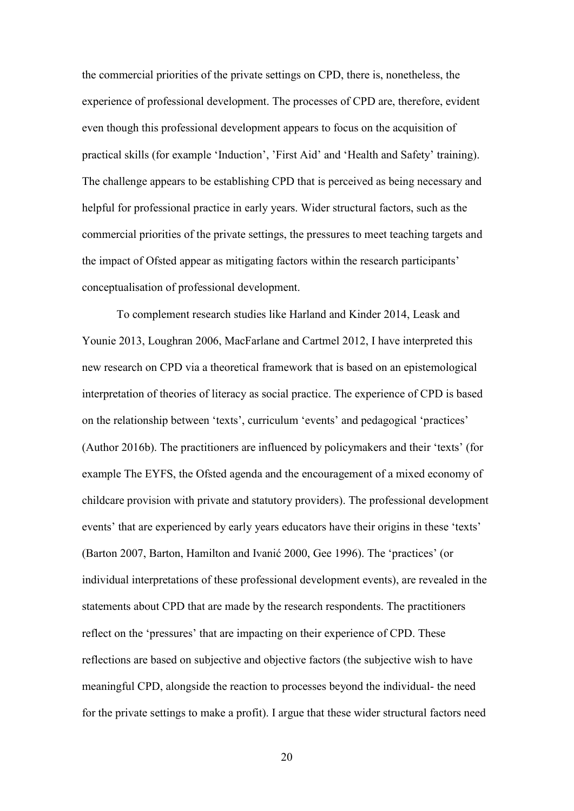the commercial priorities of the private settings on CPD, there is, nonetheless, the experience of professional development. The processes of CPD are, therefore, evident even though this professional development appears to focus on the acquisition of practical skills (for example 'Induction', 'First Aid' and 'Health and Safety' training). The challenge appears to be establishing CPD that is perceived as being necessary and helpful for professional practice in early years. Wider structural factors, such as the commercial priorities of the private settings, the pressures to meet teaching targets and the impact of Ofsted appear as mitigating factors within the research participants' conceptualisation of professional development.

To complement research studies like Harland and Kinder 2014, Leask and Younie 2013, Loughran 2006, MacFarlane and Cartmel 2012, I have interpreted this new research on CPD via a theoretical framework that is based on an epistemological interpretation of theories of literacy as social practice. The experience of CPD is based on the relationship between 'texts', curriculum 'events' and pedagogical 'practices' (Author 2016b). The practitioners are influenced by policymakers and their 'texts' (for example The EYFS, the Ofsted agenda and the encouragement of a mixed economy of childcare provision with private and statutory providers). The professional development events' that are experienced by early years educators have their origins in these 'texts' (Barton 2007, Barton, Hamilton and Ivanić 2000, Gee 1996). The 'practices' (or individual interpretations of these professional development events), are revealed in the statements about CPD that are made by the research respondents. The practitioners reflect on the 'pressures' that are impacting on their experience of CPD. These reflections are based on subjective and objective factors (the subjective wish to have meaningful CPD, alongside the reaction to processes beyond the individual- the need for the private settings to make a profit). I argue that these wider structural factors need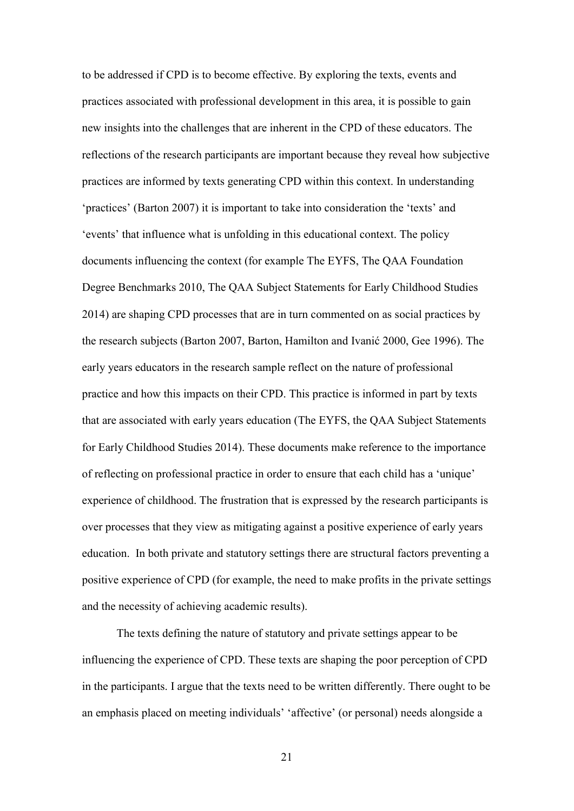to be addressed if CPD is to become effective. By exploring the texts, events and practices associated with professional development in this area, it is possible to gain new insights into the challenges that are inherent in the CPD of these educators. The reflections of the research participants are important because they reveal how subjective practices are informed by texts generating CPD within this context. In understanding 'practices' (Barton 2007) it is important to take into consideration the 'texts' and 'events' that influence what is unfolding in this educational context. The policy documents influencing the context (for example The EYFS, The QAA Foundation Degree Benchmarks 2010, The QAA Subject Statements for Early Childhood Studies 2014) are shaping CPD processes that are in turn commented on as social practices by the research subjects (Barton 2007, Barton, Hamilton and Ivanić 2000, Gee 1996). The early years educators in the research sample reflect on the nature of professional practice and how this impacts on their CPD. This practice is informed in part by texts that are associated with early years education (The EYFS, the QAA Subject Statements for Early Childhood Studies 2014). These documents make reference to the importance of reflecting on professional practice in order to ensure that each child has a 'unique' experience of childhood. The frustration that is expressed by the research participants is over processes that they view as mitigating against a positive experience of early years education. In both private and statutory settings there are structural factors preventing a positive experience of CPD (for example, the need to make profits in the private settings and the necessity of achieving academic results).

The texts defining the nature of statutory and private settings appear to be influencing the experience of CPD. These texts are shaping the poor perception of CPD in the participants. I argue that the texts need to be written differently. There ought to be an emphasis placed on meeting individuals' 'affective' (or personal) needs alongside a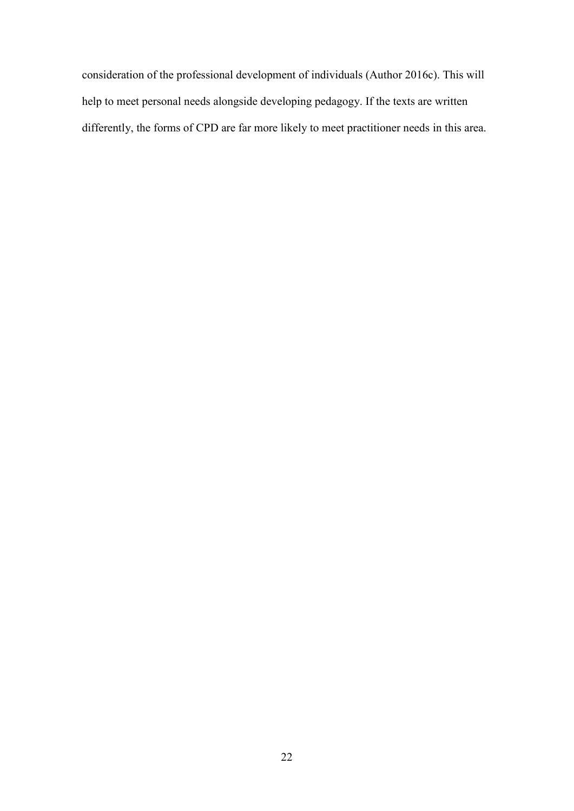consideration of the professional development of individuals (Author 2016c). This will help to meet personal needs alongside developing pedagogy. If the texts are written differently, the forms of CPD are far more likely to meet practitioner needs in this area.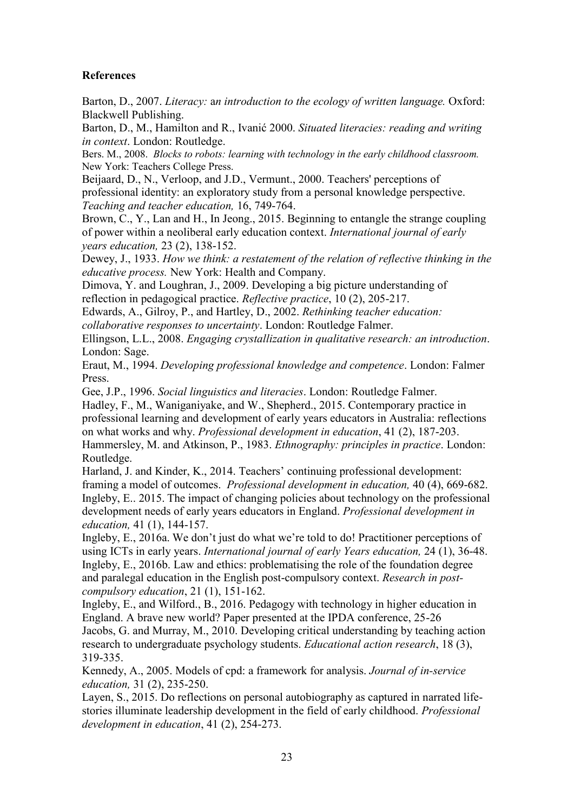# **References**

Barton, D., 2007. *Literacy:* a*n introduction to the ecology of written language.* Oxford: Blackwell Publishing.

Barton, D., M., Hamilton and R., Ivanić 2000. *Situated literacies: reading and writing in context*. London: Routledge.

Bers. M., 2008. *Blocks to robots: learning with technology in the early childhood classroom.*  New York: Teachers College Press.

Beijaard, D., N., Verloop, and J.D., Vermunt., 2000. Teachers' perceptions of professional identity: an exploratory study from a personal knowledge perspective. *Teaching and teacher education,* 16, 749-764.

Brown, C., Y., Lan and H., In Jeong., 2015. Beginning to entangle the strange coupling of power within a neoliberal early education context. *International journal of early years education,* 23 (2), 138-152.

Dewey, J., 1933. *How we think: a restatement of the relation of reflective thinking in the educative process.* New York: Health and Company.

Dimova, Y. and Loughran, J., 2009. Developing a big picture understanding of reflection in pedagogical practice. *Reflective practice*, 10 (2), 205-217.

Edwards, A., Gilroy, P., and Hartley, D., 2002. *Rethinking teacher education: collaborative responses to uncertainty*. London: Routledge Falmer.

Ellingson, L.L., 2008. *Engaging crystallization in qualitative research: an introduction*. London: Sage.

Eraut, M., 1994. *Developing professional knowledge and competence*. London: Falmer Press.

Gee, J.P., 1996. *Social linguistics and literacies*. London: Routledge Falmer.

Hadley, F., M., Waniganiyake, and W., Shepherd., 2015. Contemporary practice in professional learning and development of early years educators in Australia: reflections on what works and why. *Professional development in education*, 41 (2), 187-203. Hammersley, M. and Atkinson, P., 1983. *Ethnography: principles in practice*. London: Routledge.

Harland, J. and Kinder, K., 2014. Teachers' continuing professional development: framing a model of outcomes. *Professional development in education,* 40 (4), 669-682. Ingleby, E.. 2015. The impact of changing policies about technology on the professional development needs of early years educators in England. *Professional development in education,* 41 (1), 144-157.

Ingleby, E., 2016a. We don't just do what we're told to do! Practitioner perceptions of using ICTs in early years. *International journal of early Years education,* 24 (1), 36-48. Ingleby, E., 2016b. Law and ethics: problematising the role of the foundation degree and paralegal education in the English post-compulsory context. *Research in postcompulsory education*, 21 (1), 151-162.

Ingleby, E., and Wilford., B., 2016. Pedagogy with technology in higher education in England. A brave new world? Paper presented at the IPDA conference, 25-26 Jacobs, G. and Murray, M., 2010. Developing critical understanding by teaching action research to undergraduate psychology students. *Educational action research*, 18 (3), 319-335.

Kennedy, A., 2005. Models of cpd: a framework for analysis. *Journal of in-service education,* 31 (2), 235-250.

Layen, S., 2015. Do reflections on personal autobiography as captured in narrated lifestories illuminate leadership development in the field of early childhood. *Professional development in education*, 41 (2), 254-273.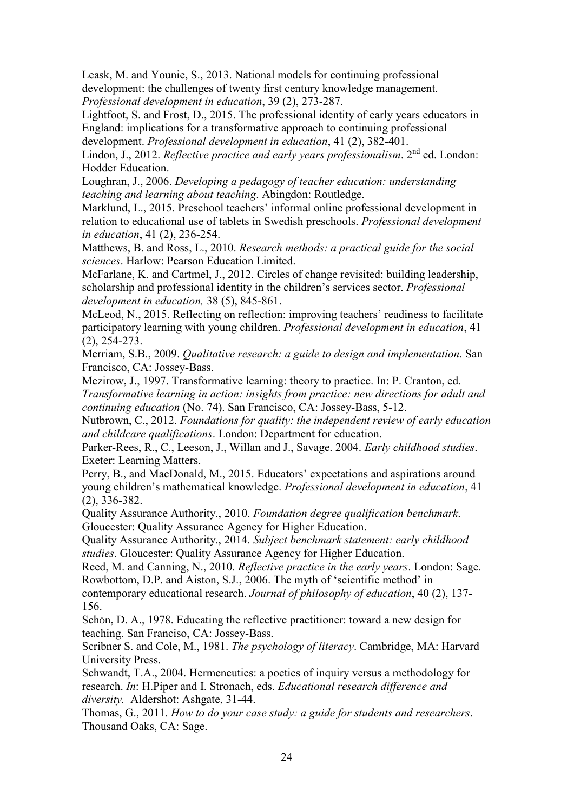Leask, M. and Younie, S., 2013. National models for continuing professional development: the challenges of twenty first century knowledge management. *Professional development in education*, 39 (2), 273-287.

Lightfoot, S. and Frost, D., 2015. The professional identity of early years educators in England: implications for a transformative approach to continuing professional development. *Professional development in education*, 41 (2), 382-401.

Lindon, J., 2012. *Reflective practice and early years professionalism*. 2nd ed. London: Hodder Education.

Loughran, J., 2006. *Developing a pedagogy of teacher education: understanding teaching and learning about teaching*. Abingdon: Routledge.

Marklund, L., 2015. Preschool teachers' informal online professional development in relation to educational use of tablets in Swedish preschools. *Professional development in education*, 41 (2), 236-254.

Matthews, B. and Ross, L., 2010. *Research methods: a practical guide for the social sciences*. Harlow: Pearson Education Limited.

McFarlane, K. and Cartmel, J., 2012. Circles of change revisited: building leadership, scholarship and professional identity in the children's services sector. *Professional development in education,* 38 (5), 845-861.

McLeod, N., 2015. Reflecting on reflection: improving teachers' readiness to facilitate participatory learning with young children. *Professional development in education*, 41 (2), 254-273.

Merriam, S.B., 2009. *Qualitative research: a guide to design and implementation*. San Francisco, CA: Jossey-Bass.

Mezirow, J., 1997. Transformative learning: theory to practice. In: P. Cranton, ed. *Transformative learning in action: insights from practice: new directions for adult and continuing education* (No. 74). San Francisco, CA: Jossey-Bass, 5-12.

Nutbrown, C., 2012. *Foundations for quality: the independent review of early education and childcare qualifications*. London: Department for education.

Parker-Rees, R., C., Leeson, J., Willan and J., Savage. 2004. *Early childhood studies*. Exeter: Learning Matters.

Perry, B., and MacDonald, M., 2015. Educators' expectations and aspirations around young children's mathematical knowledge. *Professional development in education*, 41 (2), 336-382.

Quality Assurance Authority., 2010. *Foundation degree qualification benchmark*. Gloucester: Quality Assurance Agency for Higher Education.

Quality Assurance Authority., 2014. *Subject benchmark statement: early childhood studies*. Gloucester: Quality Assurance Agency for Higher Education.

Reed, M. and Canning, N., 2010. *Reflective practice in the early years*. London: Sage. Rowbottom, D.P. and Aiston, S.J., 2006. The myth of 'scientific method' in

contemporary educational research. *Journal of philosophy of education*, 40 (2), 137- 156.

Schön, D. A., 1978. Educating the reflective practitioner: toward a new design for teaching. San Franciso, CA: Jossey-Bass.

Scribner S. and Cole, M., 1981. *The psychology of literacy*. Cambridge, MA: Harvard University Press.

Schwandt, T.A., 2004. Hermeneutics: a poetics of inquiry versus a methodology for research. *In*: H.Piper and I. Stronach, eds. *Educational research difference and diversity.* Aldershot: Ashgate, 31-44.

Thomas, G., 2011. *How to do your case study: a guide for students and researchers*. Thousand Oaks, CA: Sage.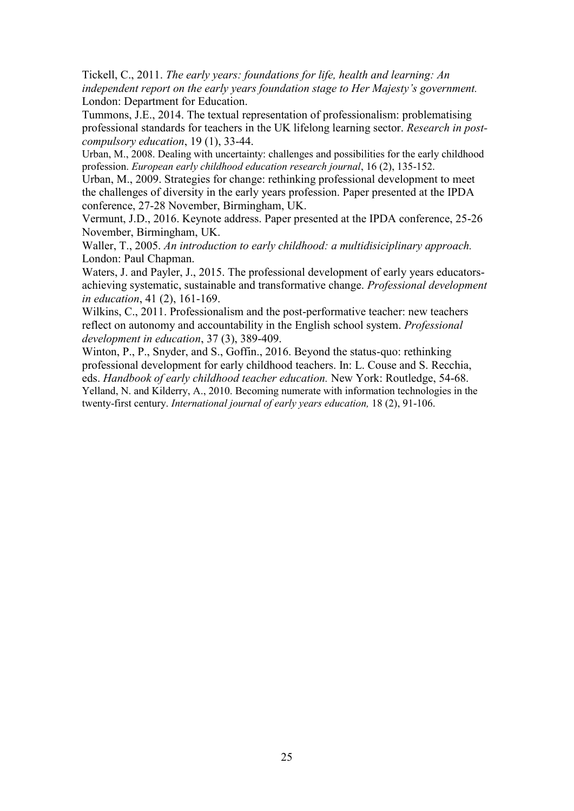Tickell, C., 2011. *The early years: foundations for life, health and learning: An independent report on the early years foundation stage to Her Majesty's government.* London: Department for Education.

Tummons, J.E., 2014. The textual representation of professionalism: problematising professional standards for teachers in the UK lifelong learning sector. *Research in postcompulsory education*, 19 (1), 33-44.

Urban, M., 2008. Dealing with uncertainty: challenges and possibilities for the early childhood profession. *European early childhood education research journal*, 16 (2), 135-152.

Urban, M., 2009. Strategies for change: rethinking professional development to meet the challenges of diversity in the early years profession. Paper presented at the IPDA conference, 27-28 November, Birmingham, UK.

Vermunt, J.D., 2016. Keynote address. Paper presented at the IPDA conference, 25-26 November, Birmingham, UK.

Waller, T., 2005. *An introduction to early childhood: a multidisiciplinary approach.*  London: Paul Chapman.

Waters, J. and Payler, J., 2015. The professional development of early years educatorsachieving systematic, sustainable and transformative change. *Professional development in education*, 41 (2), 161-169.

Wilkins, C., 2011. Professionalism and the post-performative teacher: new teachers reflect on autonomy and accountability in the English school system. *Professional development in education*, 37 (3), 389-409.

Winton, P., P., Snyder, and S., Goffin., 2016. Beyond the status-quo: rethinking professional development for early childhood teachers. In: L. Couse and S. Recchia, eds. *Handbook of early childhood teacher education.* New York: Routledge, 54-68. Yelland, N. and Kilderry, A., 2010. Becoming numerate with information technologies in the twenty-first century. *International journal of early years education,* 18 (2), 91-106.